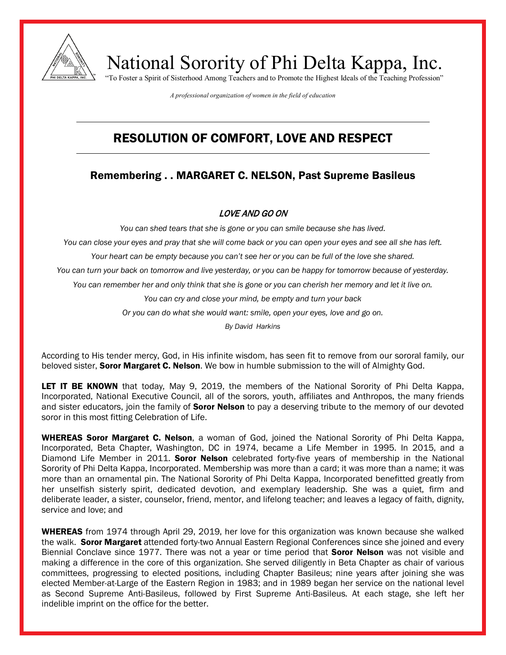

National Sorority of Phi Delta Kappa, Inc. "To Foster a Spirit of Sisterhood Among Teachers and to Promote the Highest Ideals of the Teaching Profession"

*A professional organization of women in the field of education*

## RESOLUTION OF COMFORT, LOVE AND RESPECT

## Remembering . . MARGARET C. NELSON, Past Supreme Basileus

## LOVE AND GO ON

*You can shed tears that she is gone or you can smile because she has lived.*

*You can close your eyes and pray that she will come back or you can open your eyes and see all she has left.*

*Your heart can be empty because you can't see her or you can be full of the love she shared.*

*You can turn your back on tomorrow and live yesterday, or you can be happy for tomorrow because of yesterday.*

*You can remember her and only think that she is gone or you can cherish her memory and let it live on.*

*You can cry and close your mind, be empty and turn your back*

*Or you can do what she would want: smile, open your eyes, love and go on.*

*By David Harkins*

According to His tender mercy, God, in His infinite wisdom, has seen fit to remove from our sororal family, our beloved sister, **Soror Margaret C. Nelson**. We bow in humble submission to the will of Almighty God.

LET IT BE KNOWN that today, May 9, 2019, the members of the National Sorority of Phi Delta Kappa, Incorporated, National Executive Council, all of the sorors, youth, affiliates and Anthropos, the many friends and sister educators, join the family of **Soror Nelson** to pay a deserving tribute to the memory of our devoted soror in this most fitting Celebration of Life.

WHEREAS Soror Margaret C. Nelson, a woman of God, joined the National Sorority of Phi Delta Kappa, Incorporated, Beta Chapter, Washington, DC in 1974, became a Life Member in 1995. In 2015, and a Diamond Life Member in 2011. **Soror Nelson** celebrated forty-five years of membership in the National Sorority of Phi Delta Kappa, Incorporated. Membership was more than a card; it was more than a name; it was more than an ornamental pin. The National Sorority of Phi Delta Kappa, Incorporated benefitted greatly from her unselfish sisterly spirit, dedicated devotion, and exemplary leadership. She was a quiet, firm and deliberate leader, a sister, counselor, friend, mentor, and lifelong teacher; and leaves a legacy of faith, dignity, service and love; and

WHEREAS from 1974 through April 29, 2019, her love for this organization was known because she walked the walk. Soror Margaret attended forty-two Annual Eastern Regional Conferences since she joined and every Biennial Conclave since 1977. There was not a year or time period that **Soror Nelson** was not visible and making a difference in the core of this organization. She served diligently in Beta Chapter as chair of various committees, progressing to elected positions, including Chapter Basileus; nine years after joining she was elected Member-at-Large of the Eastern Region in 1983; and in 1989 began her service on the national level as Second Supreme Anti-Basileus, followed by First Supreme Anti-Basileus. At each stage, she left her indelible imprint on the office for the better.